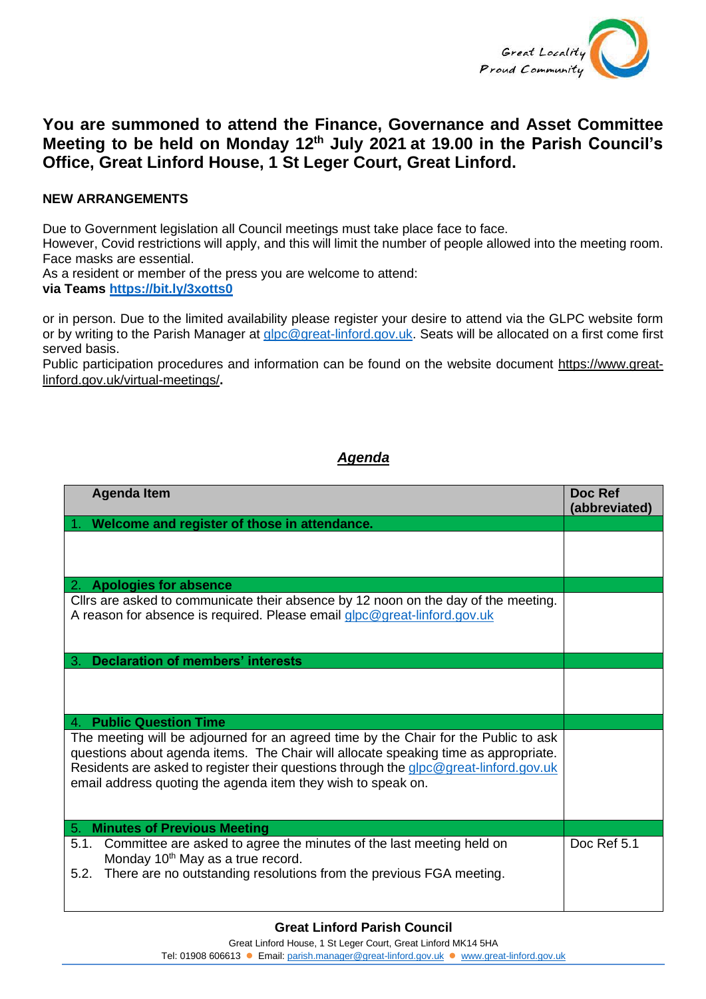

## **You are summoned to attend the Finance, Governance and Asset Committee Meeting to be held on Monday 12th July 2021 at 19.00 in the Parish Council's Office, Great Linford House, 1 St Leger Court, Great Linford.**

## **NEW ARRANGEMENTS**

Due to Government legislation all Council meetings must take place face to face.

However, Covid restrictions will apply, and this will limit the number of people allowed into the meeting room. Face masks are essential.

As a resident or member of the press you are welcome to attend:

**via Teams <https://bit.ly/3xotts0>**

or in person. Due to the limited availability please register your desire to attend via the GLPC website form or by writing to the Parish Manager at [glpc@great-linford.gov.uk.](mailto:glpc@great-linford.gov.uk) Seats will be allocated on a first come first served basis.

Public participation procedures and information can be found on the website document [https://www.great](https://www.great-linford.gov.uk/virtual-meetings/)[linford.gov.uk/virtual-meetings/](https://www.great-linford.gov.uk/virtual-meetings/)**.** 

## *Agenda*

| <b>Agenda Item</b>                                                                                                                                                                                                                                                                                                                  | <b>Doc Ref</b><br>(abbreviated) |
|-------------------------------------------------------------------------------------------------------------------------------------------------------------------------------------------------------------------------------------------------------------------------------------------------------------------------------------|---------------------------------|
| Welcome and register of those in attendance.                                                                                                                                                                                                                                                                                        |                                 |
|                                                                                                                                                                                                                                                                                                                                     |                                 |
| 2. Apologies for absence                                                                                                                                                                                                                                                                                                            |                                 |
| Cllrs are asked to communicate their absence by 12 noon on the day of the meeting.<br>A reason for absence is required. Please email glpc@great-linford.gov.uk                                                                                                                                                                      |                                 |
| <b>Declaration of members' interests</b><br>З.                                                                                                                                                                                                                                                                                      |                                 |
|                                                                                                                                                                                                                                                                                                                                     |                                 |
| <b>Public Question Time</b><br>4.                                                                                                                                                                                                                                                                                                   |                                 |
| The meeting will be adjourned for an agreed time by the Chair for the Public to ask<br>questions about agenda items. The Chair will allocate speaking time as appropriate.<br>Residents are asked to register their questions through the glpc@great-linford.gov.uk<br>email address quoting the agenda item they wish to speak on. |                                 |
| <b>Minutes of Previous Meeting</b><br>5.                                                                                                                                                                                                                                                                                            |                                 |
| Committee are asked to agree the minutes of the last meeting held on<br>5.1.<br>Monday 10 <sup>th</sup> May as a true record.<br>There are no outstanding resolutions from the previous FGA meeting.<br>5.2.                                                                                                                        | Doc Ref 5.1                     |